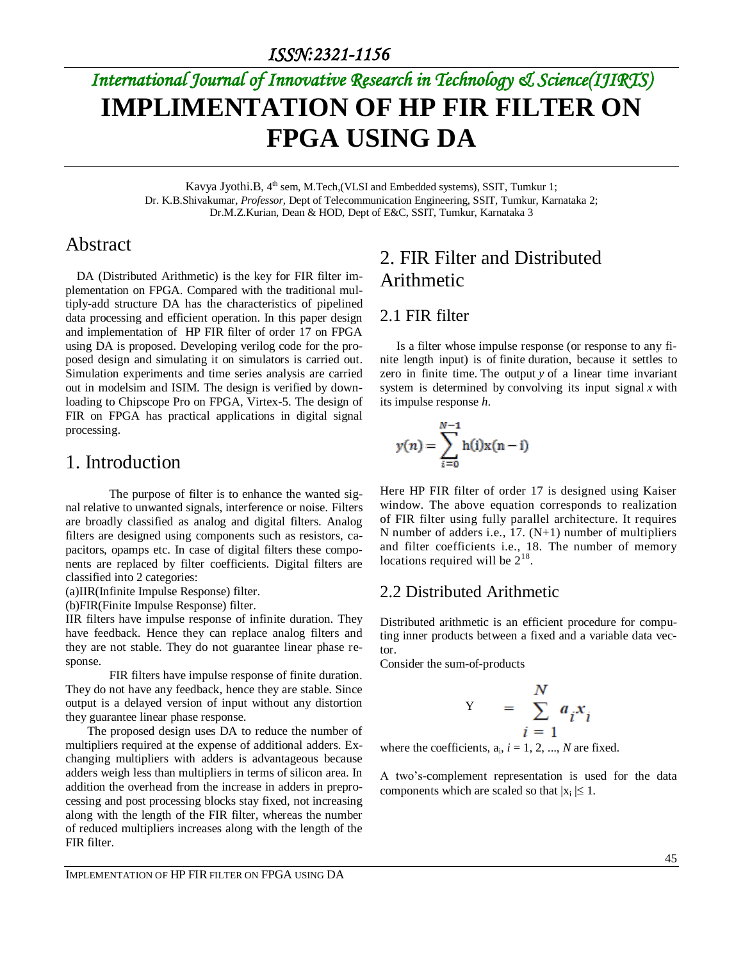# *International Journal of Innovative Research in Technology & Science(IJIRTS)* **IMPLIMENTATION OF HP FIR FILTER ON FPGA USING DA**

Kavya Jyothi.B, 4<sup>th</sup> sem, M.Tech,(VLSI and Embedded systems), SSIT, Tumkur 1; Dr. K.B.Shivakumar, *Professor,* Dept of Telecommunication Engineering, SSIT, Tumkur, Karnataka 2; Dr.M.Z.Kurian, Dean & HOD, Dept of E&C, SSIT, Tumkur, Karnataka 3

### Abstract

DA (Distributed Arithmetic) is the key for FIR filter implementation on FPGA. Compared with the traditional multiply-add structure DA has the characteristics of pipelined data processing and efficient operation. In this paper design and implementation of HP FIR filter of order 17 on FPGA using DA is proposed. Developing verilog code for the proposed design and simulating it on simulators is carried out. Simulation experiments and time series analysis are carried out in modelsim and ISIM. The design is verified by downloading to Chipscope Pro on FPGA, Virtex-5. The design of FIR on FPGA has practical applications in digital signal processing.

#### 1. Introduction

The purpose of filter is to enhance the wanted signal relative to unwanted signals, interference or noise. Filters are broadly classified as analog and digital filters. Analog filters are designed using components such as resistors, capacitors, opamps etc. In case of digital filters these components are replaced by filter coefficients. Digital filters are classified into 2 categories:

(a)IIR(Infinite Impulse Response) filter.

(b)FIR(Finite Impulse Response) filter.

IIR filters have impulse response of infinite duration. They have feedback. Hence they can replace analog filters and they are not stable. They do not guarantee linear phase response.

FIR filters have impulse response of finite duration. They do not have any feedback, hence they are stable. Since output is a delayed version of input without any distortion they guarantee linear phase response.

The proposed design uses DA to reduce the number of multipliers required at the expense of additional adders. Exchanging multipliers with adders is advantageous because adders weigh less than multipliers in terms of silicon area. In addition the overhead from the increase in adders in preprocessing and post processing blocks stay fixed, not increasing along with the length of the FIR filter, whereas the number of reduced multipliers increases along with the length of the FIR filter.

### 2. FIR Filter and Distributed Arithmetic

#### 2.1 FIR filter

Is a filter whose impulse response (or response to any finite length input) is of finite duration, because it settles to zero in finite time. The output *y* of a linear time invariant system is determined by convolving its input signal  $x$  with its impulse response *h*.

$$
y(n) = \sum_{i=0}^{N-1} h(i)x(n-i)
$$

Here HP FIR filter of order 17 is designed using Kaiser window. The above equation corresponds to realization of FIR filter using fully parallel architecture. It requires N number of adders i.e., 17. (N+1) number of multipliers and filter coefficients i.e., 18. The number of memory locations required will be  $2^{18}$ .

#### 2.2 Distributed Arithmetic

Distributed arithmetic is an efficient procedure for computing inner products between a fixed and a variable data vector.

Consider the sum-of-products

Y

$$
= \sum_{i=1}^{N} a_i x_i
$$

where the coefficients,  $a_i$ ,  $i = 1, 2, ..., N$  are fixed.

A two's-complement representation is used for the data components which are scaled so that  $|x_i| \leq 1$ .

IMPLEMENTATION OF HP FIR FILTER ON FPGA USING DA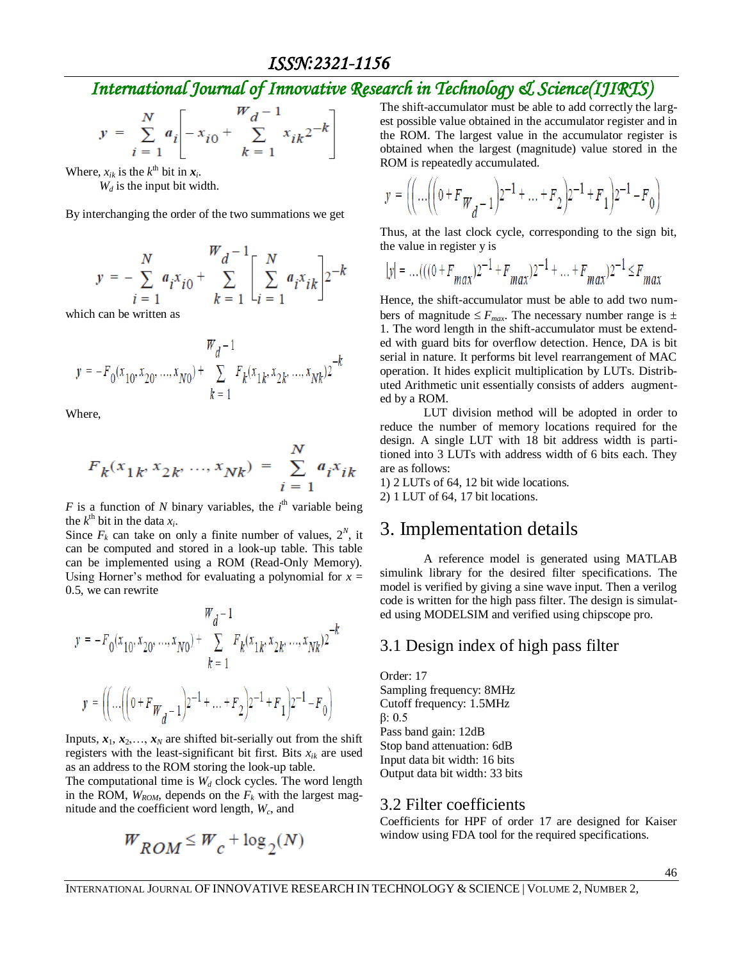*ISSN:2321-1156* 

### *International Journal of Innovative Research in Technology & Science(IJIRTS)*

$$
y = \sum_{i=1}^{N} a_i \left[ -x_{i0} + \sum_{k=1}^{W} x_{ik} \right]^{2-k}
$$

Where,  $x_{ik}$  is the  $k^{\text{th}}$  bit in  $x_i$ .

*W<sup>d</sup>* is the input bit width.

By interchanging the order of the two summations we get

$$
y = -\sum_{i=1}^{N} a_i x_{i0} + \sum_{k=1}^{W_d - 1} \left[ \sum_{i=1}^{N} a_i x_{ik} \right] 2^{-k}
$$

which can be written as

$$
y = -F_0(x_{10}, x_{20}, ..., x_{N0}) + \sum_{k=1}^{W_d - 1} F_k(x_{1k}, x_{2k}, ..., x_{Nk})^2
$$
<sup>-k</sup>

Where,

$$
F_k(x_{1k}, x_{2k}, ..., x_{Nk}) = \sum_{i=1}^{N} a_i x_{ik}
$$

*F* is a function of *N* binary variables, the  $i<sup>th</sup>$  variable being the  $k^{\text{th}}$  bit in the data  $x_i$ .

Since  $F_k$  can take on only a finite number of values,  $2^N$ , it can be computed and stored in a look-up table. This table can be implemented using a ROM (Read-Only Memory). Using Horner's method for evaluating a polynomial for  $x =$ 0.5, we can rewrite

$$
W_d - 1
$$
  

$$
y = -F_0(x_{10}, x_{20}, ..., x_{N0}) + \sum_{k=1}^{N} F_k(x_{1k}, x_{2k}, ..., x_{Nk})2^{-k}
$$
  

$$
y = \left( \left( \dots \left( \left( 0 + F_{W_d - 1} \right)2^{-1} + \dots + F_2 \right)2^{-1} + F_1 \right)2^{-1} - F_0 \right)
$$

Inputs,  $x_1, x_2, \ldots, x_N$  are shifted bit-serially out from the shift registers with the least-significant bit first. Bits  $x_{ik}$  are used as an address to the ROM storing the look-up table.

The computational time is  $W_d$  clock cycles. The word length in the ROM,  $W_{ROM}$ , depends on the  $F_k$  with the largest magnitude and the coefficient word length, *W<sup>c</sup>* , and

$$
W_{ROM} \leq W_c + \log_2(N)
$$

The shift-accumulator must be able to add correctly the largest possible value obtained in the accumulator register and in the ROM. The largest value in the accumulator register is obtained when the largest (magnitude) value stored in the ROM is repeatedly accumulated.

$$
y = \left( \left( \dots \left( \left( 0 + F_{W_{d}} - 1 \right) 2^{-1} + \dots + F_{2} \right) 2^{-1} + F_{1} \right) 2^{-1} - F_{0} \right)
$$

Thus, at the last clock cycle, corresponding to the sign bit, the value in register y is

$$
|y| = \dots + ((0 + F_{max})2^{-1} + F_{max})2^{-1} + \dots + F_{max})2^{-1} \le F_{max}
$$

Hence, the shift-accumulator must be able to add two numbers of magnitude  $\leq F_{max}$ . The necessary number range is  $\pm$ 1. The word length in the shift-accumulator must be extended with guard bits for overflow detection. Hence, DA is bit serial in nature. It performs bit level rearrangement of MAC operation. It hides explicit multiplication by LUTs. Distributed Arithmetic unit essentially consists of adders augmented by a ROM.

LUT division method will be adopted in order to reduce the number of memory locations required for the design. A single LUT with 18 bit address width is partitioned into 3 LUTs with address width of 6 bits each. They are as follows:

1) 2 LUTs of 64, 12 bit wide locations. 2) 1 LUT of 64, 17 bit locations.

#### 3. Implementation details

A reference model is generated using MATLAB simulink library for the desired filter specifications. The model is verified by giving a sine wave input. Then a verilog code is written for the high pass filter. The design is simulated using MODELSIM and verified using chipscope pro.

#### 3.1 Design index of high pass filter

Order: 17 Sampling frequency: 8MHz Cutoff frequency: 1.5MHz β: 0.5 Pass band gain: 12dB Stop band attenuation: 6dB Input data bit width: 16 bits Output data bit width: 33 bits

#### 3.2 Filter coefficients

Coefficients for HPF of order 17 are designed for Kaiser window using FDA tool for the required specifications.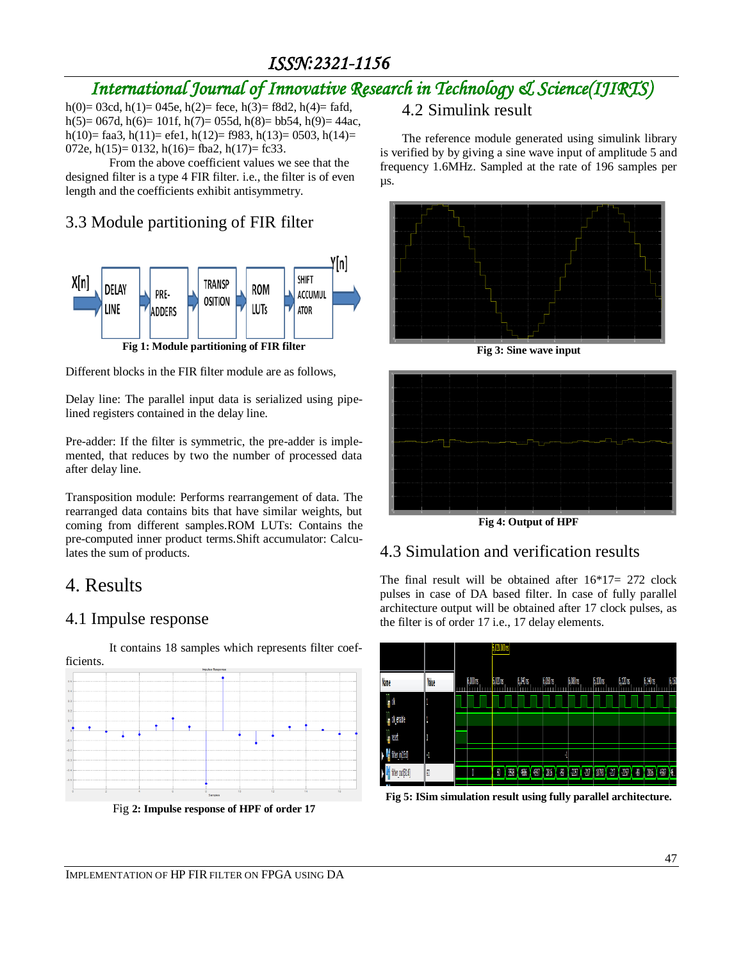### *ISSN:2321-1156*

# *International Journal of Innovative Research in Technology & Science(IJIRTS)*

h(0)= 03cd, h(1)= 045e, h(2)= fece, h(3)= f8d2, h(4)= fafd, h(5)= 067d, h(6)= 101f, h(7)= 055d, h(8)= bb54, h(9)= 44ac, h(10)= faa3, h(11)= efe1, h(12)= f983, h(13)= 0503, h(14)= 072e, h(15)= 0132, h(16)= fba2, h(17)= fc33.

From the above coefficient values we see that the designed filter is a type 4 FIR filter. i.e., the filter is of even length and the coefficients exhibit antisymmetry.

### 3.3 Module partitioning of FIR filter



Different blocks in the FIR filter module are as follows,

Delay line: The parallel input data is serialized using pipelined registers contained in the delay line.

Pre-adder: If the filter is symmetric, the pre-adder is implemented, that reduces by two the number of processed data after delay line.

Transposition module: Performs rearrangement of data. The rearranged data contains bits that have similar weights, but coming from different samples.ROM LUTs: Contains the pre-computed inner product terms.Shift accumulator: Calculates the sum of products.

### 4. Results

#### 4.1 Impulse response



It contains 18 samples which represents filter coef-

Fig **2: Impulse response of HPF of order 17**

#### 4.2 Simulink result

The reference module generated using simulink library is verified by by giving a sine wave input of amplitude 5 and frequency 1.6MHz. Sampled at the rate of 196 samples per µs.



**Fig 3: Sine wave input**



**Fig 4: Output of HPF**

#### 4.3 Simulation and verification results

The final result will be obtained after 16\*17= 272 clock pulses in case of DA based filter. In case of fully parallel architecture output will be obtained after 17 clock pulses, as the filter is of order 17 i.e., 17 delay elements.



**Fig 5: ISim simulation result using fully parallel architecture.**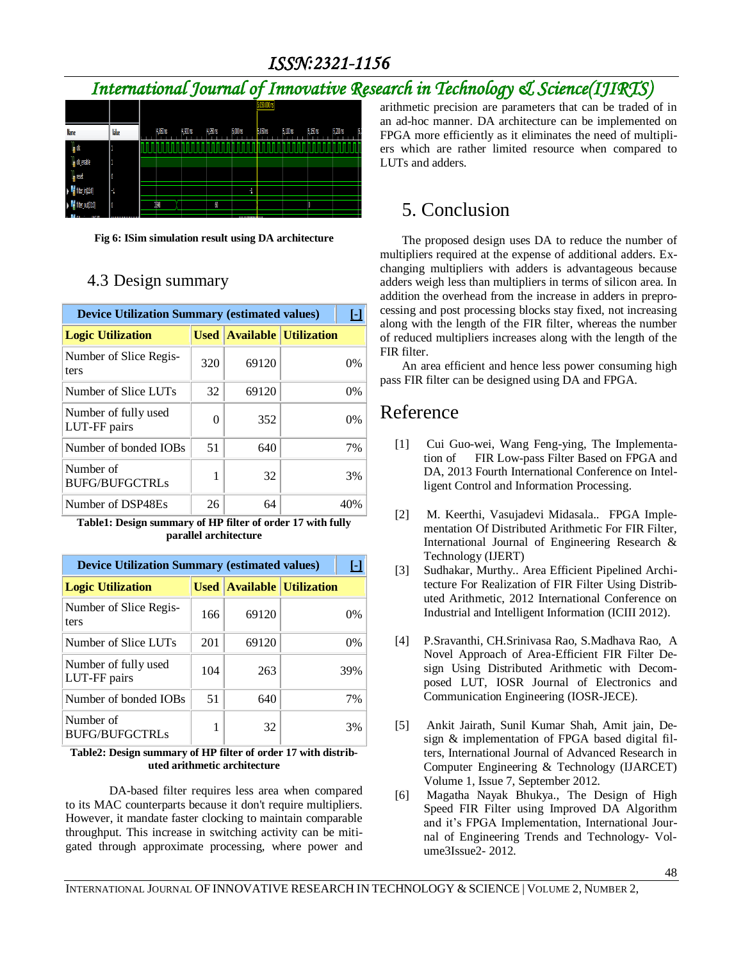### *ISSN:2321-1156*

# *International Journal of Innovative Research in Technology & Science(IJIRTS)*



**Fig 6: ISim simulation result using DA architecture**

#### 4.3 Design summary

| <b>Device Utilization Summary (estimated values)</b> |             |       |                              |      |
|------------------------------------------------------|-------------|-------|------------------------------|------|
| <b>Logic Utilization</b>                             | <b>Used</b> |       | <b>Available Utilization</b> |      |
| Number of Slice Regis-<br>ters                       | 320         | 69120 |                              | 0%   |
| Number of Slice LUTs                                 | 32          | 69120 |                              | 0%   |
| Number of fully used<br>LUT-FF pairs                 | 0           | 352   |                              | 0%   |
| Number of bonded IOBs                                | 51          | 640   |                              | 7%   |
| Number of<br><b>BUFG/BUFGCTRLs</b>                   |             | 32    |                              | 3%   |
| Number of DSP48Es                                    | 26          | 64    |                              | 40\% |

**Table1: Design summary of HP filter of order 17 with fully parallel architecture**

| <b>Device Utilization Summary (estimated values)</b> |     |                                   |  |     |  |
|------------------------------------------------------|-----|-----------------------------------|--|-----|--|
| <b>Logic Utilization</b>                             |     | <b>Used Available Utilization</b> |  |     |  |
| Number of Slice Regis-<br>ters                       | 166 | 69120                             |  | 0%  |  |
| Number of Slice LUTs                                 | 201 | 69120                             |  | 0%  |  |
| Number of fully used<br>LUT-FF pairs                 | 104 | 263                               |  | 39% |  |
| Number of bonded IOBs                                | 51  | 640                               |  | 7%  |  |
| Number of<br><b>BUFG/BUFGCTRLs</b>                   |     | 32                                |  | 3%  |  |

#### **Table2: Design summary of HP filter of order 17 with distributed arithmetic architecture**

DA-based filter requires less area when compared to its MAC counterparts because it don't require multipliers. However, it mandate faster clocking to maintain comparable throughput. This increase in switching activity can be mitigated through approximate processing, where power and

arithmetic precision are parameters that can be traded of in an ad-hoc manner. DA architecture can be implemented on FPGA more efficiently as it eliminates the need of multipliers which are rather limited resource when compared to LUTs and adders.

### 5. Conclusion

The proposed design uses DA to reduce the number of multipliers required at the expense of additional adders. Exchanging multipliers with adders is advantageous because adders weigh less than multipliers in terms of silicon area. In addition the overhead from the increase in adders in preprocessing and post processing blocks stay fixed, not increasing along with the length of the FIR filter, whereas the number of reduced multipliers increases along with the length of the FIR filter.

An area efficient and hence less power consuming high pass FIR filter can be designed using DA and FPGA.

### Reference

- [1] Cui Guo-wei, Wang Feng-ying, The Implementation of FIR Low-pass Filter Based on FPGA and DA, 2013 Fourth International Conference on Intelligent Control and Information Processing.
- [2] M. Keerthi, Vasujadevi Midasala.. FPGA Implementation Of Distributed Arithmetic For FIR Filter, International Journal of Engineering Research & Technology (IJERT)
- [3] Sudhakar, Murthy.. Area Efficient Pipelined Architecture For Realization of FIR Filter Using Distributed Arithmetic, 2012 International Conference on Industrial and Intelligent Information (ICIII 2012).
- [4] P.Sravanthi, CH.Srinivasa Rao, S.Madhava Rao, A Novel Approach of Area-Efficient FIR Filter Design Using Distributed Arithmetic with Decomposed LUT, IOSR Journal of Electronics and Communication Engineering (IOSR-JECE).
- [5] Ankit Jairath, Sunil Kumar Shah, Amit jain, Design & implementation of FPGA based digital filters, International Journal of Advanced Research in Computer Engineering & Technology (IJARCET) Volume 1, Issue 7, September 2012.
- [6] Magatha Nayak Bhukya., The Design of High Speed FIR Filter using Improved DA Algorithm and it's FPGA Implementation, International Journal of Engineering Trends and Technology- Volume3Issue2- 2012.